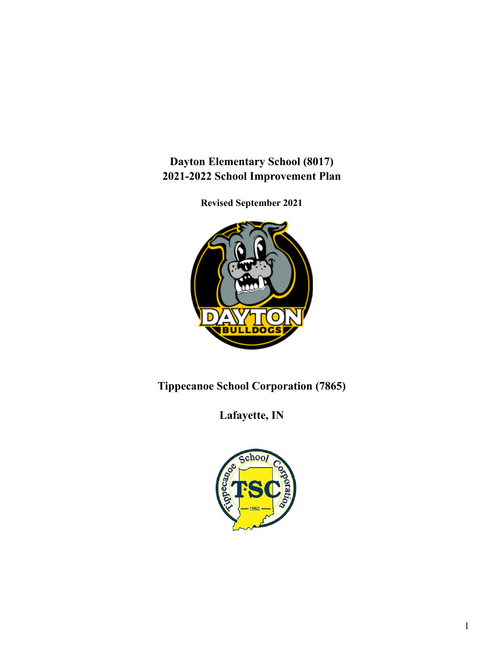**Dayton Elementary School (8017) 2021-2022 School Improvement Plan**

**Revised September 2021**



**Tippecanoe School Corporation (7865)**

**Lafayette, IN**

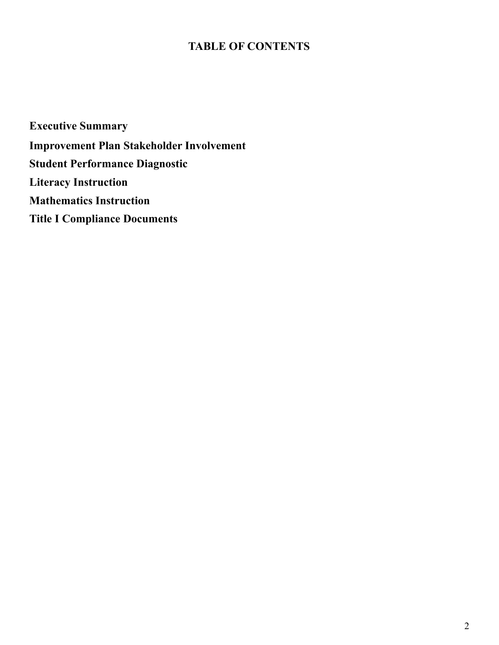# **TABLE OF CONTENTS**

**Executive Summary Improvement Plan Stakeholder Involvement Student Performance Diagnostic Literacy Instruction Mathematics Instruction Title I Compliance Documents**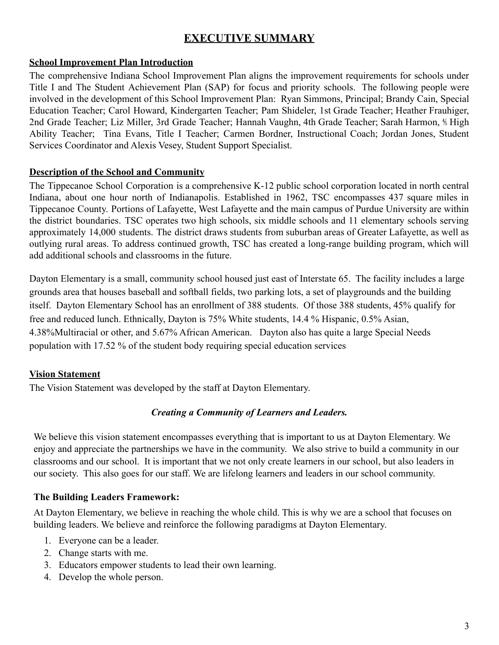# **EXECUTIVE SUMMARY**

### **School Improvement Plan Introduction**

The comprehensive Indiana School Improvement Plan aligns the improvement requirements for schools under Title I and The Student Achievement Plan (SAP) for focus and priority schools. The following people were involved in the development of this School Improvement Plan: Ryan Simmons, Principal; Brandy Cain, Special Education Teacher; Carol Howard, Kindergarten Teacher; Pam Shideler, 1st Grade Teacher; Heather Frauhiger, 2nd Grade Teacher; Liz Miller, 3rd Grade Teacher; Hannah Vaughn, 4th Grade Teacher; Sarah Harmon, ⅘ High Ability Teacher; Tina Evans, Title I Teacher; Carmen Bordner, Instructional Coach; Jordan Jones, Student Services Coordinator and Alexis Vesey, Student Support Specialist.

### **Description of the School and Community**

The Tippecanoe School Corporation is a comprehensive K-12 public school corporation located in north central Indiana, about one hour north of Indianapolis. Established in 1962, TSC encompasses 437 square miles in Tippecanoe County. Portions of Lafayette, West Lafayette and the main campus of Purdue University are within the district boundaries. TSC operates two high schools, six middle schools and 11 elementary schools serving approximately 14,000 students. The district draws students from suburban areas of Greater Lafayette, as well as outlying rural areas. To address continued growth, TSC has created a long-range building program, which will add additional schools and classrooms in the future.

Dayton Elementary is a small, community school housed just east of Interstate 65. The facility includes a large grounds area that houses baseball and softball fields, two parking lots, a set of playgrounds and the building itself. Dayton Elementary School has an enrollment of 388 students. Of those 388 students, 45% qualify for free and reduced lunch. Ethnically, Dayton is 75% White students, 14.4 % Hispanic, 0.5% Asian, 4.38%Multiracial or other, and 5.67% African American. Dayton also has quite a large Special Needs population with 17.52 % of the student body requiring special education services

### **Vision Statement**

The Vision Statement was developed by the staff at Dayton Elementary.

### *Creating a Community of Learners and Leaders.*

We believe this vision statement encompasses everything that is important to us at Dayton Elementary. We enjoy and appreciate the partnerships we have in the community. We also strive to build a community in our classrooms and our school. It is important that we not only create learners in our school, but also leaders in our society. This also goes for our staff. We are lifelong learners and leaders in our school community.

#### **The Building Leaders Framework:**

At Dayton Elementary, we believe in reaching the whole child. This is why we are a school that focuses on building leaders. We believe and reinforce the following paradigms at Dayton Elementary.

- 1. Everyone can be a leader.
- 2. Change starts with me.
- 3. Educators empower students to lead their own learning.
- 4. Develop the whole person.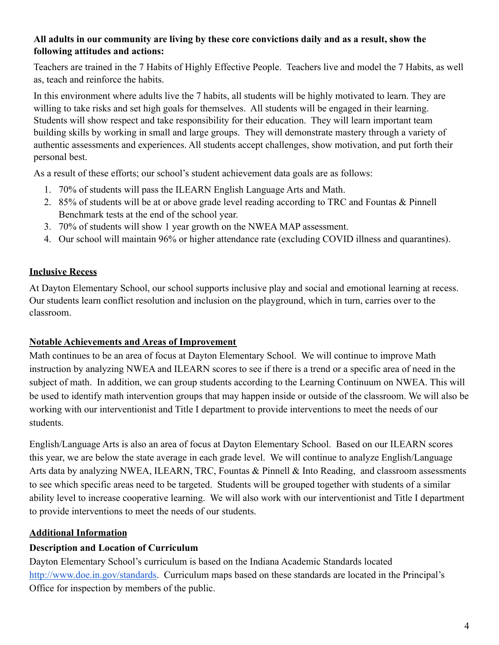### **All adults in our community are living by these core convictions daily and as a result, show the following attitudes and actions:**

Teachers are trained in the 7 Habits of Highly Effective People. Teachers live and model the 7 Habits, as well as, teach and reinforce the habits.

In this environment where adults live the 7 habits, all students will be highly motivated to learn. They are willing to take risks and set high goals for themselves. All students will be engaged in their learning. Students will show respect and take responsibility for their education. They will learn important team building skills by working in small and large groups. They will demonstrate mastery through a variety of authentic assessments and experiences. All students accept challenges, show motivation, and put forth their personal best.

As a result of these efforts; our school's student achievement data goals are as follows:

- 1. 70% of students will pass the ILEARN English Language Arts and Math.
- 2. 85% of students will be at or above grade level reading according to TRC and Fountas & Pinnell Benchmark tests at the end of the school year.
- 3. 70% of students will show 1 year growth on the NWEA MAP assessment.
- 4. Our school will maintain 96% or higher attendance rate (excluding COVID illness and quarantines).

### **Inclusive Recess**

At Dayton Elementary School, our school supports inclusive play and social and emotional learning at recess. Our students learn conflict resolution and inclusion on the playground, which in turn, carries over to the classroom.

### **Notable Achievements and Areas of Improvement**

Math continues to be an area of focus at Dayton Elementary School. We will continue to improve Math instruction by analyzing NWEA and ILEARN scores to see if there is a trend or a specific area of need in the subject of math. In addition, we can group students according to the Learning Continuum on NWEA. This will be used to identify math intervention groups that may happen inside or outside of the classroom. We will also be working with our interventionist and Title I department to provide interventions to meet the needs of our students.

English/Language Arts is also an area of focus at Dayton Elementary School. Based on our ILEARN scores this year, we are below the state average in each grade level. We will continue to analyze English/Language Arts data by analyzing NWEA, ILEARN, TRC, Fountas & Pinnell & Into Reading, and classroom assessments to see which specific areas need to be targeted. Students will be grouped together with students of a similar ability level to increase cooperative learning. We will also work with our interventionist and Title I department to provide interventions to meet the needs of our students.

### **Additional Information**

### **Description and Location of Curriculum**

Dayton Elementary School's curriculum is based on the Indiana Academic Standards located [http://www.doe.in.gov/standards](https://www.in.gov/doe/students/indiana-academic-standards/). Curriculum maps based on these standards are located in the Principal's Office for inspection by members of the public.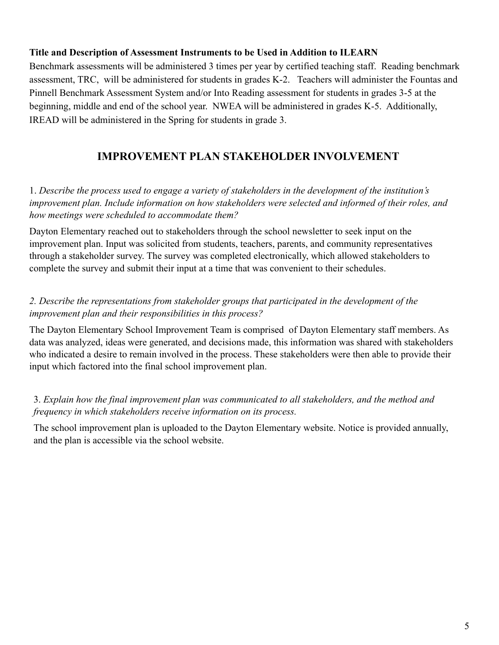#### **Title and Description of Assessment Instruments to be Used in Addition to ILEARN**

Benchmark assessments will be administered 3 times per year by certified teaching staff. Reading benchmark assessment, TRC, will be administered for students in grades K-2. Teachers will administer the Fountas and Pinnell Benchmark Assessment System and/or Into Reading assessment for students in grades 3-5 at the beginning, middle and end of the school year. NWEA will be administered in grades K-5. Additionally, IREAD will be administered in the Spring for students in grade 3.

### **IMPROVEMENT PLAN STAKEHOLDER INVOLVEMENT**

1. *Describe the process used to engage a variety of stakeholders in the development of the institution's improvement plan. Include information on how stakeholders were selected and informed of their roles, and how meetings were scheduled to accommodate them?*

Dayton Elementary reached out to stakeholders through the school newsletter to seek input on the improvement plan. Input was solicited from students, teachers, parents, and community representatives through a stakeholder survey. The survey was completed electronically, which allowed stakeholders to complete the survey and submit their input at a time that was convenient to their schedules.

### *2. Describe the representations from stakeholder groups that participated in the development of the improvement plan and their responsibilities in this process?*

The Dayton Elementary School Improvement Team is comprised of Dayton Elementary staff members. As data was analyzed, ideas were generated, and decisions made, this information was shared with stakeholders who indicated a desire to remain involved in the process. These stakeholders were then able to provide their input which factored into the final school improvement plan.

### 3. *Explain how the final improvement plan was communicated to all stakeholders, and the method and frequency in which stakeholders receive information on its process.*

The school improvement plan is uploaded to the Dayton Elementary website. Notice is provided annually, and the plan is accessible via the school website.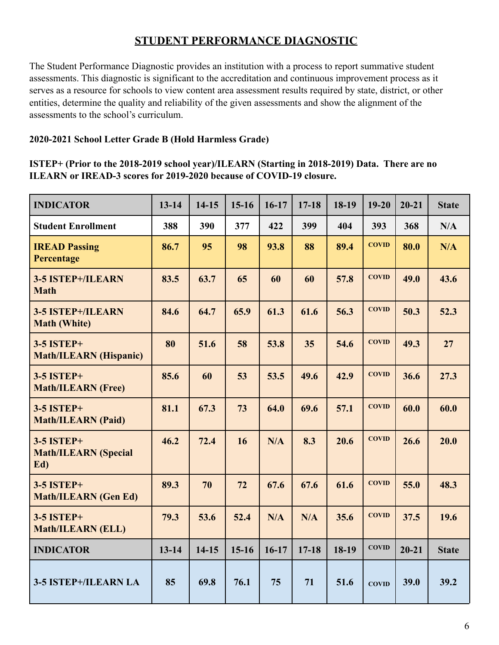### **STUDENT PERFORMANCE DIAGNOSTIC**

The Student Performance Diagnostic provides an institution with a process to report summative student assessments. This diagnostic is significant to the accreditation and continuous improvement process as it serves as a resource for schools to view content area assessment results required by state, district, or other entities, determine the quality and reliability of the given assessments and show the alignment of the assessments to the school's curriculum.

### **2020-2021 School Letter Grade B (Hold Harmless Grade)**

### **ISTEP+ (Prior to the 2018-2019 school year)/ILEARN (Starting in 2018-2019) Data. There are no ILEARN or IREAD-3 scores for 2019-2020 because of COVID-19 closure.**

| <b>INDICATOR</b>                                        | $13 - 14$ | $14-15$ | $15-16$ | $16-17$ | $17 - 18$ | 18-19 | $19 - 20$    | $20 - 21$ | <b>State</b> |
|---------------------------------------------------------|-----------|---------|---------|---------|-----------|-------|--------------|-----------|--------------|
| <b>Student Enrollment</b>                               | 388       | 390     | 377     | 422     | 399       | 404   | 393          | 368       | N/A          |
| <b>IREAD Passing</b><br>Percentage                      | 86.7      | 95      | 98      | 93.8    | 88        | 89.4  | <b>COVID</b> | 80.0      | N/A          |
| 3-5 ISTEP+/ILEARN<br><b>Math</b>                        | 83.5      | 63.7    | 65      | 60      | 60        | 57.8  | <b>COVID</b> | 49.0      | 43.6         |
| 3-5 ISTEP+/ILEARN<br><b>Math (White)</b>                | 84.6      | 64.7    | 65.9    | 61.3    | 61.6      | 56.3  | <b>COVID</b> | 50.3      | 52.3         |
| <b>3-5 ISTEP+</b><br><b>Math/ILEARN (Hispanic)</b>      | 80        | 51.6    | 58      | 53.8    | 35        | 54.6  | <b>COVID</b> | 49.3      | 27           |
| <b>3-5 ISTEP+</b><br><b>Math/ILEARN (Free)</b>          | 85.6      | 60      | 53      | 53.5    | 49.6      | 42.9  | <b>COVID</b> | 36.6      | 27.3         |
| <b>3-5 ISTEP+</b><br><b>Math/ILEARN (Paid)</b>          | 81.1      | 67.3    | 73      | 64.0    | 69.6      | 57.1  | <b>COVID</b> | 60.0      | 60.0         |
| <b>3-5 ISTEP+</b><br><b>Math/ILEARN (Special</b><br>Ed) | 46.2      | 72.4    | 16      | N/A     | 8.3       | 20.6  | <b>COVID</b> | 26.6      | 20.0         |
| <b>3-5 ISTEP+</b><br><b>Math/ILEARN (Gen Ed)</b>        | 89.3      | 70      | 72      | 67.6    | 67.6      | 61.6  | <b>COVID</b> | 55.0      | 48.3         |
| <b>3-5 ISTEP+</b><br><b>Math/ILEARN (ELL)</b>           | 79.3      | 53.6    | 52.4    | N/A     | N/A       | 35.6  | <b>COVID</b> | 37.5      | 19.6         |
| <b>INDICATOR</b>                                        | $13 - 14$ | $14-15$ | $15-16$ | $16-17$ | $17 - 18$ | 18-19 | <b>COVID</b> | $20 - 21$ | <b>State</b> |
| 3-5 ISTEP+/ILEARN LA                                    | 85        | 69.8    | 76.1    | 75      | 71        | 51.6  | <b>COVID</b> | 39.0      | 39.2         |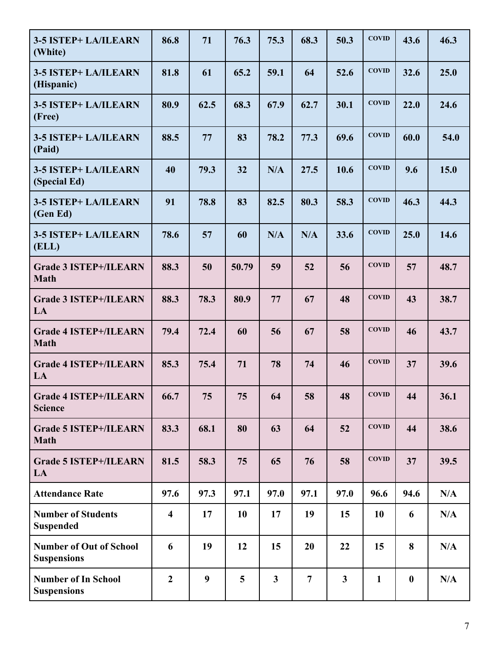| 3-5 ISTEP+ LA/ILEARN<br>(White)                      | 86.8                    | 71   | 76.3  | 75.3           | 68.3           | 50.3           | <b>COVID</b> | 43.6     | 46.3 |
|------------------------------------------------------|-------------------------|------|-------|----------------|----------------|----------------|--------------|----------|------|
| 3-5 ISTEP+ LA/ILEARN<br>(Hispanic)                   | 81.8                    | 61   | 65.2  | 59.1           | 64             | 52.6           | <b>COVID</b> | 32.6     | 25.0 |
| 3-5 ISTEP+ LA/ILEARN<br>(Free)                       | 80.9                    | 62.5 | 68.3  | 67.9           | 62.7           | 30.1           | <b>COVID</b> | 22.0     | 24.6 |
| 3-5 ISTEP+ LA/ILEARN<br>(Paid)                       | 88.5                    | 77   | 83    | 78.2           | 77.3           | 69.6           | <b>COVID</b> | 60.0     | 54.0 |
| <b>3-5 ISTEP+ LA/ILEARN</b><br>(Special Ed)          | 40                      | 79.3 | 32    | N/A            | 27.5           | 10.6           | <b>COVID</b> | 9.6      | 15.0 |
| 3-5 ISTEP+ LA/ILEARN<br>(Gen Ed)                     | 91                      | 78.8 | 83    | 82.5           | 80.3           | 58.3           | <b>COVID</b> | 46.3     | 44.3 |
| 3-5 ISTEP+ LA/ILEARN<br>(ELL)                        | 78.6                    | 57   | 60    | N/A            | N/A            | 33.6           | <b>COVID</b> | 25.0     | 14.6 |
| <b>Grade 3 ISTEP+/ILEARN</b><br><b>Math</b>          | 88.3                    | 50   | 50.79 | 59             | 52             | 56             | <b>COVID</b> | 57       | 48.7 |
| <b>Grade 3 ISTEP+/ILEARN</b><br>LA                   | 88.3                    | 78.3 | 80.9  | 77             | 67             | 48             | <b>COVID</b> | 43       | 38.7 |
| <b>Grade 4 ISTEP+/ILEARN</b><br><b>Math</b>          | 79.4                    | 72.4 | 60    | 56             | 67             | 58             | <b>COVID</b> | 46       | 43.7 |
| <b>Grade 4 ISTEP+/ILEARN</b><br>LA                   | 85.3                    | 75.4 | 71    | 78             | 74             | 46             | <b>COVID</b> | 37       | 39.6 |
| <b>Grade 4 ISTEP+/ILEARN</b><br><b>Science</b>       | 66.7                    | 75   | 75    | 64             | 58             | 48             | <b>COVID</b> | 44       | 36.1 |
| <b>Grade 5 ISTEP+/ILEARN</b><br><b>Math</b>          | 83.3                    | 68.1 | 80    | 63             | 64             | 52             | <b>COVID</b> | 44       | 38.6 |
| <b>Grade 5 ISTEP+/ILEARN</b><br>LA                   | 81.5                    | 58.3 | 75    | 65             | 76             | 58             | <b>COVID</b> | 37       | 39.5 |
| <b>Attendance Rate</b>                               | 97.6                    | 97.3 | 97.1  | 97.0           | 97.1           | 97.0           | 96.6         | 94.6     | N/A  |
| <b>Number of Students</b><br><b>Suspended</b>        | $\overline{\mathbf{4}}$ | 17   | 10    | 17             | 19             | 15             | 10           | 6        | N/A  |
| <b>Number of Out of School</b><br><b>Suspensions</b> | 6                       | 19   | 12    | 15             | 20             | 22             | 15           | 8        | N/A  |
| <b>Number of In School</b><br><b>Suspensions</b>     | $\overline{2}$          | 9    | 5     | $\overline{3}$ | $\overline{7}$ | $\overline{3}$ | $\mathbf{1}$ | $\bf{0}$ | N/A  |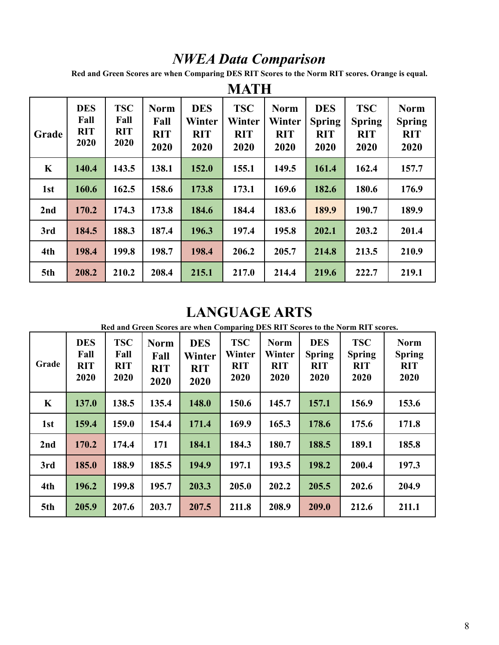# *NWEA Data Comparison*

**Red and Green Scores are when Comparing DES RIT Scores to the Norm RIT scores. Orange is equal.**

| Grade       | <b>DES</b><br>Fall<br><b>RIT</b><br>2020 | <b>TSC</b><br>Fall<br><b>RIT</b><br>2020 | <b>Norm</b><br>Fall<br><b>RIT</b><br>2020 | <b>DES</b><br>Winter<br><b>RIT</b><br>2020 | <b>TSC</b><br>Winter<br><b>RIT</b><br>2020 | <b>Norm</b><br>Winter<br><b>RIT</b><br>2020 | <b>DES</b><br><b>Spring</b><br><b>RIT</b><br>2020 | <b>TSC</b><br><b>Spring</b><br><b>RIT</b><br>2020 | <b>Norm</b><br><b>Spring</b><br><b>RIT</b><br>2020 |
|-------------|------------------------------------------|------------------------------------------|-------------------------------------------|--------------------------------------------|--------------------------------------------|---------------------------------------------|---------------------------------------------------|---------------------------------------------------|----------------------------------------------------|
| $\mathbf K$ | 140.4                                    | 143.5                                    | 138.1                                     | 152.0                                      | 155.1                                      | 149.5                                       | 161.4                                             | 162.4                                             | 157.7                                              |
| 1st         | 160.6                                    | 162.5                                    | 158.6                                     | 173.8                                      | 173.1                                      | 169.6                                       | 182.6                                             | 180.6                                             | 176.9                                              |
| 2nd         | 170.2                                    | 174.3                                    | 173.8                                     | 184.6                                      | 184.4                                      | 183.6                                       | 189.9                                             | 190.7                                             | 189.9                                              |
| 3rd         | 184.5                                    | 188.3                                    | 187.4                                     | 196.3                                      | 197.4                                      | 195.8                                       | 202.1                                             | 203.2                                             | 201.4                                              |
| 4th         | 198.4                                    | 199.8                                    | 198.7                                     | 198.4                                      | 206.2                                      | 205.7                                       | 214.8                                             | 213.5                                             | 210.9                                              |
| 5th         | 208.2                                    | 210.2                                    | 208.4                                     | 215.1                                      | 217.0                                      | 214.4                                       | 219.6                                             | 222.7                                             | 219.1                                              |

# **MATH**

# **LANGUAGE ARTS**

**Red and Green Scores are when Comparing DES RIT Scores to the Norm RIT scores.**

| Grade   | <b>DES</b><br>Fall<br><b>RIT</b><br>2020 | <b>TSC</b><br>Fall<br><b>RIT</b><br>2020 | <b>Norm</b><br>Fall<br><b>RIT</b><br>2020 | <b>DES</b><br>Winter<br><b>RIT</b><br>2020 | <b>TSC</b><br>Winter<br><b>RIT</b><br>2020 | <b>Norm</b><br>Winter<br><b>RIT</b><br>2020 | <b>DES</b><br><b>Spring</b><br><b>RIT</b><br>2020 | <b>TSC</b><br><b>Spring</b><br><b>RIT</b><br>2020 | <b>Norm</b><br><b>Spring</b><br><b>RIT</b><br>2020 |
|---------|------------------------------------------|------------------------------------------|-------------------------------------------|--------------------------------------------|--------------------------------------------|---------------------------------------------|---------------------------------------------------|---------------------------------------------------|----------------------------------------------------|
| $\bf K$ | 137.0                                    | 138.5                                    | 135.4                                     | 148.0                                      | 150.6                                      | 145.7                                       | 157.1                                             | 156.9                                             | 153.6                                              |
| 1st     | 159.4                                    | 159.0                                    | 154.4                                     | 171.4                                      | 169.9                                      | 165.3                                       | 178.6                                             | 175.6                                             | 171.8                                              |
| 2nd     | 170.2                                    | 174.4                                    | 171                                       | 184.1                                      | 184.3                                      | 180.7                                       | 188.5                                             | 189.1                                             | 185.8                                              |
| 3rd     | 185.0                                    | 188.9                                    | 185.5                                     | 194.9                                      | 197.1                                      | 193.5                                       | 198.2                                             | 200.4                                             | 197.3                                              |
| 4th     | 196.2                                    | 199.8                                    | 195.7                                     | 203.3                                      | 205.0                                      | 202.2                                       | 205.5                                             | 202.6                                             | 204.9                                              |
| 5th     | 205.9                                    | 207.6                                    | 203.7                                     | 207.5                                      | 211.8                                      | 208.9                                       | 209.0                                             | 212.6                                             | 211.1                                              |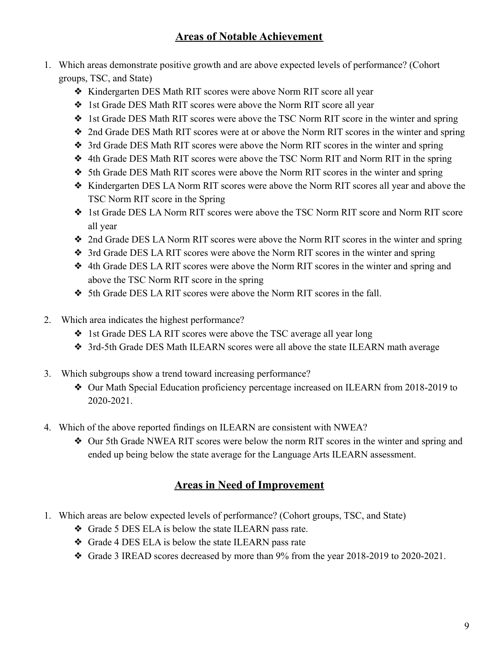## **Areas of Notable Achievement**

- 1. Which areas demonstrate positive growth and are above expected levels of performance? (Cohort groups, TSC, and State)
	- ❖ Kindergarten DES Math RIT scores were above Norm RIT score all year
	- ❖ 1st Grade DES Math RIT scores were above the Norm RIT score all year
	- ❖ 1st Grade DES Math RIT scores were above the TSC Norm RIT score in the winter and spring
	- ❖ 2nd Grade DES Math RIT scores were at or above the Norm RIT scores in the winter and spring
	- ❖ 3rd Grade DES Math RIT scores were above the Norm RIT scores in the winter and spring
	- ❖ 4th Grade DES Math RIT scores were above the TSC Norm RIT and Norm RIT in the spring
	- ❖ 5th Grade DES Math RIT scores were above the Norm RIT scores in the winter and spring
	- ❖ Kindergarten DES LA Norm RIT scores were above the Norm RIT scores all year and above the TSC Norm RIT score in the Spring
	- ❖ 1st Grade DES LA Norm RIT scores were above the TSC Norm RIT score and Norm RIT score all year
	- ❖ 2nd Grade DES LA Norm RIT scores were above the Norm RIT scores in the winter and spring
	- ❖ 3rd Grade DES LA RIT scores were above the Norm RIT scores in the winter and spring
	- ❖ 4th Grade DES LA RIT scores were above the Norm RIT scores in the winter and spring and above the TSC Norm RIT score in the spring
	- ❖ 5th Grade DES LA RIT scores were above the Norm RIT scores in the fall.
- 2. Which area indicates the highest performance?
	- ❖ 1st Grade DES LA RIT scores were above the TSC average all year long
	- ❖ 3rd-5th Grade DES Math ILEARN scores were all above the state ILEARN math average
- 3. Which subgroups show a trend toward increasing performance?
	- ❖ Our Math Special Education proficiency percentage increased on ILEARN from 2018-2019 to 2020-2021.
- 4. Which of the above reported findings on ILEARN are consistent with NWEA?
	- ❖ Our 5th Grade NWEA RIT scores were below the norm RIT scores in the winter and spring and ended up being below the state average for the Language Arts ILEARN assessment.

### **Areas in Need of Improvement**

- 1. Which areas are below expected levels of performance? (Cohort groups, TSC, and State)
	- ❖ Grade 5 DES ELA is below the state ILEARN pass rate.
	- ❖ Grade 4 DES ELA is below the state ILEARN pass rate
	- ❖ Grade 3 IREAD scores decreased by more than 9% from the year 2018-2019 to 2020-2021.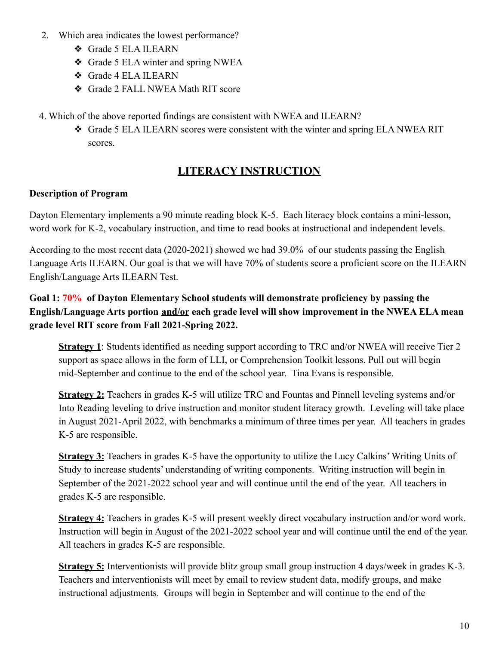- 2. Which area indicates the lowest performance?
	- ❖ Grade 5 ELA ILEARN
	- ❖ Grade 5 ELA winter and spring NWEA
	- ❖ Grade 4 ELA ILEARN
	- ❖ Grade 2 FALL NWEA Math RIT score
- 4. Which of the above reported findings are consistent with NWEA and ILEARN?
	- ❖ Grade 5 ELA ILEARN scores were consistent with the winter and spring ELA NWEA RIT scores.

# **LITERACY INSTRUCTION**

### **Description of Program**

Dayton Elementary implements a 90 minute reading block K-5. Each literacy block contains a mini-lesson, word work for K-2, vocabulary instruction, and time to read books at instructional and independent levels.

According to the most recent data (2020-2021) showed we had 39.0% of our students passing the English Language Arts ILEARN. Our goal is that we will have 70% of students score a proficient score on the ILEARN English/Language Arts ILEARN Test.

### **Goal 1: 70% of Dayton Elementary School students will demonstrate proficiency by passing the English/Language Arts portion and/or each grade level will show improvement in the NWEA ELA mean grade level RIT score from Fall 2021-Spring 2022.**

**Strategy 1**: Students identified as needing support according to TRC and/or NWEA will receive Tier 2 support as space allows in the form of LLI, or Comprehension Toolkit lessons. Pull out will begin mid-September and continue to the end of the school year. Tina Evans is responsible.

**Strategy 2:** Teachers in grades K-5 will utilize TRC and Fountas and Pinnell leveling systems and/or Into Reading leveling to drive instruction and monitor student literacy growth. Leveling will take place in August 2021-April 2022, with benchmarks a minimum of three times per year. All teachers in grades K-5 are responsible.

**Strategy 3:** Teachers in grades K-5 have the opportunity to utilize the Lucy Calkins' Writing Units of Study to increase students' understanding of writing components. Writing instruction will begin in September of the 2021-2022 school year and will continue until the end of the year. All teachers in grades K-5 are responsible.

**Strategy 4:** Teachers in grades K-5 will present weekly direct vocabulary instruction and/or word work. Instruction will begin in August of the 2021-2022 school year and will continue until the end of the year. All teachers in grades K-5 are responsible.

**Strategy 5:** Interventionists will provide blitz group small group instruction 4 days/week in grades K-3. Teachers and interventionists will meet by email to review student data, modify groups, and make instructional adjustments. Groups will begin in September and will continue to the end of the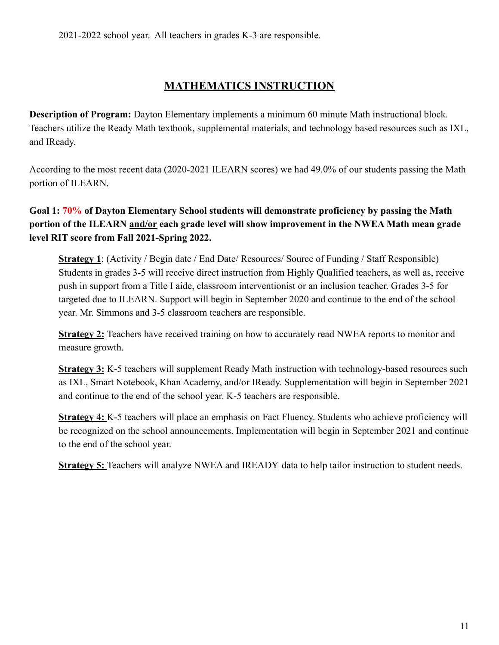# **MATHEMATICS INSTRUCTION**

**Description of Program:** Dayton Elementary implements a minimum 60 minute Math instructional block. Teachers utilize the Ready Math textbook, supplemental materials, and technology based resources such as IXL, and IReady.

According to the most recent data (2020-2021 ILEARN scores) we had 49.0% of our students passing the Math portion of ILEARN.

**Goal 1: 70% of Dayton Elementary School students will demonstrate proficiency by passing the Math portion of the ILEARN and/or each grade level will show improvement in the NWEA Math mean grade level RIT score from Fall 2021-Spring 2022.**

**Strategy 1**: (Activity / Begin date / End Date/ Resources/ Source of Funding / Staff Responsible) Students in grades 3-5 will receive direct instruction from Highly Qualified teachers, as well as, receive push in support from a Title I aide, classroom interventionist or an inclusion teacher. Grades 3-5 for targeted due to ILEARN. Support will begin in September 2020 and continue to the end of the school year. Mr. Simmons and 3-5 classroom teachers are responsible.

**Strategy 2:** Teachers have received training on how to accurately read NWEA reports to monitor and measure growth.

**Strategy 3:** K-5 teachers will supplement Ready Math instruction with technology-based resources such as IXL, Smart Notebook, Khan Academy, and/or IReady. Supplementation will begin in September 2021 and continue to the end of the school year. K-5 teachers are responsible.

**Strategy 4:** K-5 teachers will place an emphasis on Fact Fluency. Students who achieve proficiency will be recognized on the school announcements. Implementation will begin in September 2021 and continue to the end of the school year.

**Strategy 5:** Teachers will analyze NWEA and IREADY data to help tailor instruction to student needs.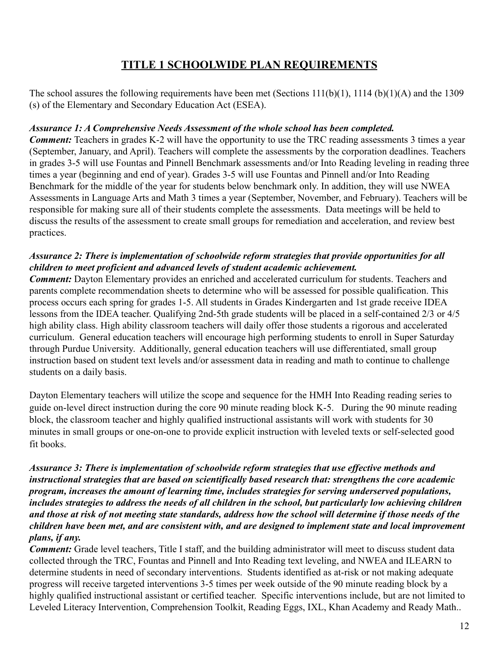# **TITLE 1 SCHOOLWIDE PLAN REQUIREMENTS**

The school assures the following requirements have been met (Sections 111(b)(1), 1114 (b)(1)(A) and the 1309 (s) of the Elementary and Secondary Education Act (ESEA).

### *Assurance 1: A Comprehensive Needs Assessment of the whole school has been completed.*

*Comment:* Teachers in grades K-2 will have the opportunity to use the TRC reading assessments 3 times a year (September, January, and April). Teachers will complete the assessments by the corporation deadlines. Teachers in grades 3-5 will use Fountas and Pinnell Benchmark assessments and/or Into Reading leveling in reading three times a year (beginning and end of year). Grades 3-5 will use Fountas and Pinnell and/or Into Reading Benchmark for the middle of the year for students below benchmark only. In addition, they will use NWEA Assessments in Language Arts and Math 3 times a year (September, November, and February). Teachers will be responsible for making sure all of their students complete the assessments. Data meetings will be held to discuss the results of the assessment to create small groups for remediation and acceleration, and review best practices.

### *Assurance 2: There is implementation of schoolwide reform strategies that provide opportunities for all children to meet proficient and advanced levels of student academic achievement.*

*Comment:* Dayton Elementary provides an enriched and accelerated curriculum for students. Teachers and parents complete recommendation sheets to determine who will be assessed for possible qualification. This process occurs each spring for grades 1-5. All students in Grades Kindergarten and 1st grade receive IDEA lessons from the IDEA teacher. Qualifying 2nd-5th grade students will be placed in a self-contained 2/3 or 4/5 high ability class. High ability classroom teachers will daily offer those students a rigorous and accelerated curriculum. General education teachers will encourage high performing students to enroll in Super Saturday through Purdue University. Additionally, general education teachers will use differentiated, small group instruction based on student text levels and/or assessment data in reading and math to continue to challenge students on a daily basis.

Dayton Elementary teachers will utilize the scope and sequence for the HMH Into Reading reading series to guide on-level direct instruction during the core 90 minute reading block K-5. During the 90 minute reading block, the classroom teacher and highly qualified instructional assistants will work with students for 30 minutes in small groups or one-on-one to provide explicit instruction with leveled texts or self-selected good fit books.

### *Assurance 3: There is implementation of schoolwide reform strategies that use effective methods and instructional strategies that are based on scientifically based research that: strengthens the core academic program, increases the amount of learning time, includes strategies for serving underserved populations, includes strategies to address the needs of all children in the school, but particularly low achieving children and those at risk of not meeting state standards, address how the school will determine if those needs of the children have been met, and are consistent with, and are designed to implement state and local improvement plans, if any.*

*Comment:* Grade level teachers, Title I staff, and the building administrator will meet to discuss student data collected through the TRC, Fountas and Pinnell and Into Reading text leveling, and NWEA and ILEARN to determine students in need of secondary interventions. Students identified as at-risk or not making adequate progress will receive targeted interventions 3-5 times per week outside of the 90 minute reading block by a highly qualified instructional assistant or certified teacher. Specific interventions include, but are not limited to Leveled Literacy Intervention, Comprehension Toolkit, Reading Eggs, IXL, Khan Academy and Ready Math..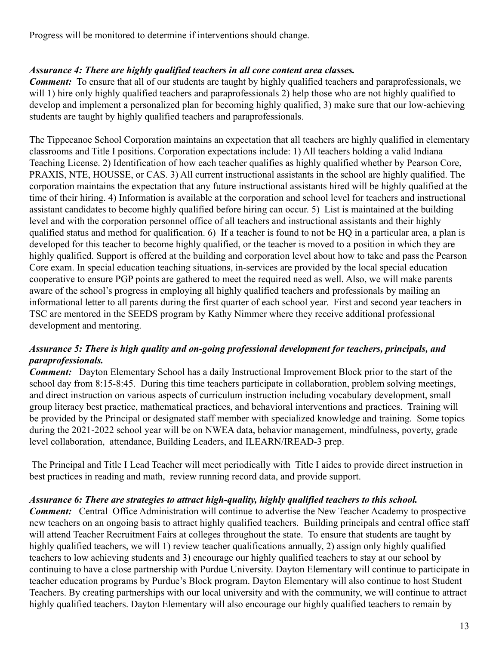Progress will be monitored to determine if interventions should change.

### *Assurance 4: There are highly qualified teachers in all core content area classes.*

*Comment:* To ensure that all of our students are taught by highly qualified teachers and paraprofessionals, we will 1) hire only highly qualified teachers and paraprofessionals 2) help those who are not highly qualified to develop and implement a personalized plan for becoming highly qualified, 3) make sure that our low-achieving students are taught by highly qualified teachers and paraprofessionals.

The Tippecanoe School Corporation maintains an expectation that all teachers are highly qualified in elementary classrooms and Title I positions. Corporation expectations include: 1) All teachers holding a valid Indiana Teaching License. 2) Identification of how each teacher qualifies as highly qualified whether by Pearson Core, PRAXIS, NTE, HOUSSE, or CAS. 3) All current instructional assistants in the school are highly qualified. The corporation maintains the expectation that any future instructional assistants hired will be highly qualified at the time of their hiring. 4) Information is available at the corporation and school level for teachers and instructional assistant candidates to become highly qualified before hiring can occur. 5) List is maintained at the building level and with the corporation personnel office of all teachers and instructional assistants and their highly qualified status and method for qualification. 6) If a teacher is found to not be HQ in a particular area, a plan is developed for this teacher to become highly qualified, or the teacher is moved to a position in which they are highly qualified. Support is offered at the building and corporation level about how to take and pass the Pearson Core exam. In special education teaching situations, in-services are provided by the local special education cooperative to ensure PGP points are gathered to meet the required need as well. Also, we will make parents aware of the school's progress in employing all highly qualified teachers and professionals by mailing an informational letter to all parents during the first quarter of each school year. First and second year teachers in TSC are mentored in the SEEDS program by Kathy Nimmer where they receive additional professional development and mentoring.

### *Assurance 5: There is high quality and on-going professional development for teachers, principals, and paraprofessionals.*

*Comment:* Dayton Elementary School has a daily Instructional Improvement Block prior to the start of the school day from 8:15-8:45. During this time teachers participate in collaboration, problem solving meetings, and direct instruction on various aspects of curriculum instruction including vocabulary development, small group literacy best practice, mathematical practices, and behavioral interventions and practices. Training will be provided by the Principal or designated staff member with specialized knowledge and training. Some topics during the 2021-2022 school year will be on NWEA data, behavior management, mindfulness, poverty, grade level collaboration, attendance, Building Leaders, and ILEARN/IREAD-3 prep.

The Principal and Title I Lead Teacher will meet periodically with Title I aides to provide direct instruction in best practices in reading and math, review running record data, and provide support.

### *Assurance 6: There are strategies to attract high-quality, highly qualified teachers to this school.*

*Comment:* Central Office Administration will continue to advertise the New Teacher Academy to prospective new teachers on an ongoing basis to attract highly qualified teachers. Building principals and central office staff will attend Teacher Recruitment Fairs at colleges throughout the state. To ensure that students are taught by highly qualified teachers, we will 1) review teacher qualifications annually, 2) assign only highly qualified teachers to low achieving students and 3) encourage our highly qualified teachers to stay at our school by continuing to have a close partnership with Purdue University. Dayton Elementary will continue to participate in teacher education programs by Purdue's Block program. Dayton Elementary will also continue to host Student Teachers. By creating partnerships with our local university and with the community, we will continue to attract highly qualified teachers. Dayton Elementary will also encourage our highly qualified teachers to remain by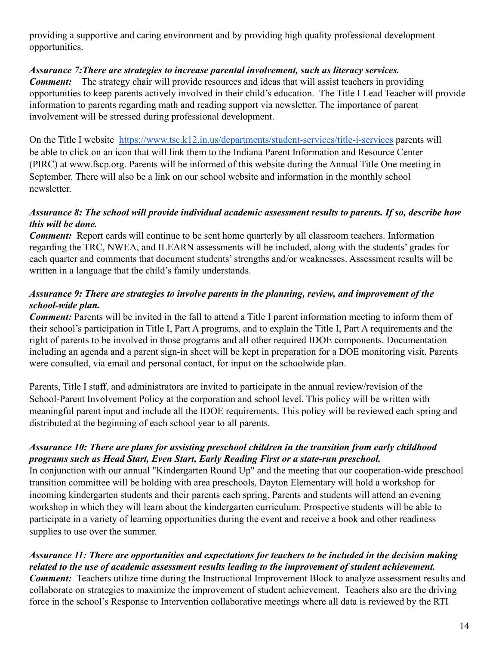providing a supportive and caring environment and by providing high quality professional development opportunities.

### *Assurance 7:There are strategies to increase parental involvement, such as literacy services.*

*Comment:* The strategy chair will provide resources and ideas that will assist teachers in providing opportunities to keep parents actively involved in their child's education. The Title I Lead Teacher will provide information to parents regarding math and reading support via newsletter. The importance of parent involvement will be stressed during professional development.

On the Title I website <https://www.tsc.k12.in.us/departments/student-services/title-i-services> parents will be able to click on an icon that will link them to the Indiana Parent Information and Resource Center (PIRC) at www.fscp.org. Parents will be informed of this website during the Annual Title One meeting in September. There will also be a link on our school website and information in the monthly school newsletter.

### *Assurance 8: The school will provide individual academic assessment results to parents. If so, describe how this will be done.*

*Comment:* Report cards will continue to be sent home quarterly by all classroom teachers. Information regarding the TRC, NWEA, and ILEARN assessments will be included, along with the students' grades for each quarter and comments that document students' strengths and/or weaknesses. Assessment results will be written in a language that the child's family understands.

### *Assurance 9: There are strategies to involve parents in the planning, review, and improvement of the school-wide plan.*

*Comment:* Parents will be invited in the fall to attend a Title I parent information meeting to inform them of their school's participation in Title I, Part A programs, and to explain the Title I, Part A requirements and the right of parents to be involved in those programs and all other required IDOE components. Documentation including an agenda and a parent sign-in sheet will be kept in preparation for a DOE monitoring visit. Parents were consulted, via email and personal contact, for input on the schoolwide plan.

Parents, Title I staff, and administrators are invited to participate in the annual review/revision of the School-Parent Involvement Policy at the corporation and school level. This policy will be written with meaningful parent input and include all the IDOE requirements. This policy will be reviewed each spring and distributed at the beginning of each school year to all parents.

### *Assurance 10: There are plans for assisting preschool children in the transition from early childhood programs such as Head Start, Even Start, Early Reading First or a state-run preschool.*

In conjunction with our annual "Kindergarten Round Up" and the meeting that our cooperation-wide preschool transition committee will be holding with area preschools, Dayton Elementary will hold a workshop for incoming kindergarten students and their parents each spring. Parents and students will attend an evening workshop in which they will learn about the kindergarten curriculum. Prospective students will be able to participate in a variety of learning opportunities during the event and receive a book and other readiness supplies to use over the summer.

### *Assurance 11: There are opportunities and expectations for teachers to be included in the decision making related to the use of academic assessment results leading to the improvement of student achievement.*

*Comment:* Teachers utilize time during the Instructional Improvement Block to analyze assessment results and collaborate on strategies to maximize the improvement of student achievement. Teachers also are the driving force in the school's Response to Intervention collaborative meetings where all data is reviewed by the RTI